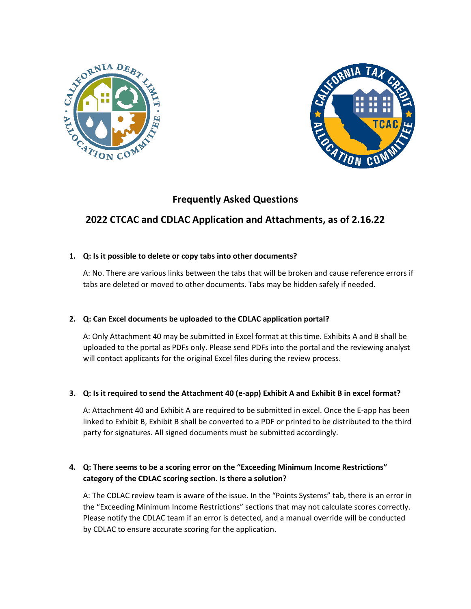



# **Frequently Asked Questions**

# **2022 CTCAC and CDLAC Application and Attachments, as of 2.16.22**

## **1. Q: Is it possible to delete or copy tabs into other documents?**

A: No. There are various links between the tabs that will be broken and cause reference errors if tabs are deleted or moved to other documents. Tabs may be hidden safely if needed.

## **2. Q: Can Excel documents be uploaded to the CDLAC application portal?**

A: Only Attachment 40 may be submitted in Excel format at this time. Exhibits A and B shall be uploaded to the portal as PDFs only. Please send PDFs into the portal and the reviewing analyst will contact applicants for the original Excel files during the review process.

## **3. Q: Is it required to send the Attachment 40 (e-app) Exhibit A and Exhibit B in excel format?**

A: Attachment 40 and Exhibit A are required to be submitted in excel. Once the E-app has been linked to Exhibit B, Exhibit B shall be converted to a PDF or printed to be distributed to the third party for signatures. All signed documents must be submitted accordingly.

## **4. Q: There seems to be a scoring error on the "Exceeding Minimum Income Restrictions" category of the CDLAC scoring section. Is there a solution?**

A: The CDLAC review team is aware of the issue. In the "Points Systems" tab, there is an error in the "Exceeding Minimum Income Restrictions" sections that may not calculate scores correctly. Please notify the CDLAC team if an error is detected, and a manual override will be conducted by CDLAC to ensure accurate scoring for the application.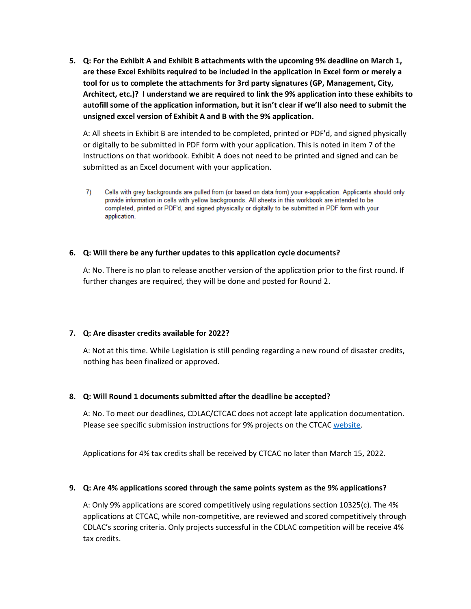**5. Q: For the Exhibit A and Exhibit B attachments with the upcoming 9% deadline on March 1, are these Excel Exhibits required to be included in the application in Excel form or merely a tool for us to complete the attachments for 3rd party signatures (GP, Management, City, Architect, etc.)? I understand we are required to link the 9% application into these exhibits to autofill some of the application information, but it isn't clear if we'll also need to submit the unsigned excel version of Exhibit A and B with the 9% application.** 

A: All sheets in Exhibit B are intended to be completed, printed or PDF'd, and signed physically or digitally to be submitted in PDF form with your application. This is noted in item 7 of the Instructions on that workbook. Exhibit A does not need to be printed and signed and can be submitted as an Excel document with your application.

Cells with grey backgrounds are pulled from (or based on data from) your e-application. Applicants should only 7) provide information in cells with yellow backgrounds. All sheets in this workbook are intended to be completed, printed or PDF'd, and signed physically or digitally to be submitted in PDF form with your application.

### **6. Q: Will there be any further updates to this application cycle documents?**

A: No. There is no plan to release another version of the application prior to the first round. If further changes are required, they will be done and posted for Round 2.

#### **7. Q: Are disaster credits available for 2022?**

A: Not at this time. While Legislation is still pending regarding a new round of disaster credits, nothing has been finalized or approved.

#### **8. Q: Will Round 1 documents submitted after the deadline be accepted?**

A: No. To meet our deadlines, CDLAC/CTCAC does not accept late application documentation. Please see specific submission instructions for 9% projects on the CTCA[C website.](https://www.treasurer.ca.gov/ctcac/2022/applications/competitive-tax-app-instructions.asp)

Applications for 4% tax credits shall be received by CTCAC no later than March 15, 2022.

### **9. Q: Are 4% applications scored through the same points system as the 9% applications?**

A: Only 9% applications are scored competitively using regulations section 10325(c). The 4% applications at CTCAC, while non-competitive, are reviewed and scored competitively through CDLAC's scoring criteria. Only projects successful in the CDLAC competition will be receive 4% tax credits.